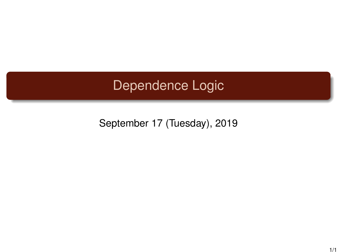## Dependence Logic

September 17 (Tuesday), 2019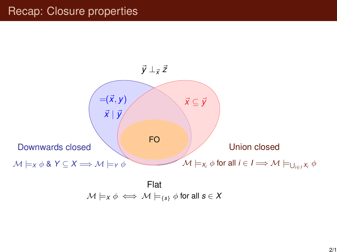## Recap: Closure properties



$$
\mathcal{M} \models_X \phi \iff \mathcal{M} \models_{\{s\}} \phi \text{ for all } s \in X
$$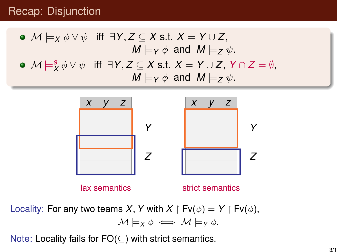## Recap: Disjunction

\n- \n
$$
\mathcal{M} \models_X \phi \lor \psi
$$
 iff  $\exists Y, Z \subseteq X \text{ s.t. } X = Y \cup Z$ ,\n  $M \models_Y \phi$  and  $M \models_Z \psi$ .\n
\n- \n $\mathcal{M} \models_X^s \phi \lor \psi$  iff  $\exists Y, Z \subseteq X \text{ s.t. } X = Y \cup Z, Y \cap Z = \emptyset$ ,\n  $M \models_Y \phi$  and  $M \models_Z \psi$ .\n
\n



Locality: For any two teams *X*, *Y* with *X*  $\upharpoonright$  Fv( $\phi$ ) = *Y*  $\upharpoonright$  Fv( $\phi$ ),  $\mathcal{M} \models_{\mathsf{X}} \phi \iff \mathcal{M} \models_{\mathsf{Y}} \phi.$ 

Note: Locality fails for FO(⊆) with strict semantics.